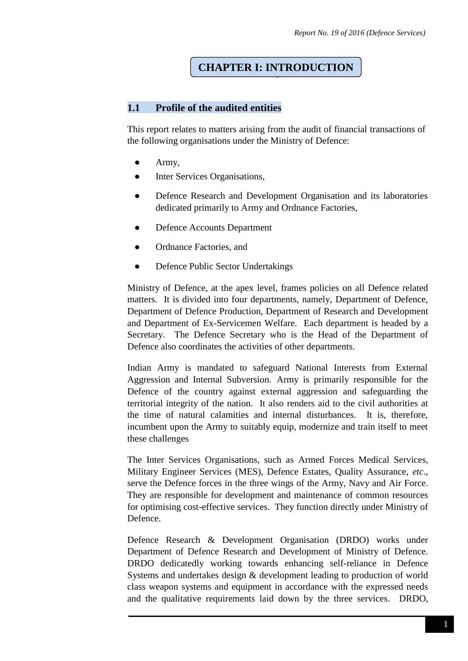# ` **CHAPTER I: INTRODUCTION**

## **1.1 Profile of the audited entities**

This report relates to matters arising from the audit of financial transactions of the following organisations under the Ministry of Defence:

- Army,
- Inter Services Organisations,
- Defence Research and Development Organisation and its laboratories dedicated primarily to Army and Ordnance Factories,
- Defence Accounts Department
- Ordnance Factories, and
- Defence Public Sector Undertakings

Ministry of Defence, at the apex level, frames policies on all Defence related matters. It is divided into four departments, namely, Department of Defence, Department of Defence Production, Department of Research and Development and Department of Ex-Servicemen Welfare. Each department is headed by a Secretary. The Defence Secretary who is the Head of the Department of Defence also coordinates the activities of other departments.

Indian Army is mandated to safeguard National Interests from External Aggression and Internal Subversion. Army is primarily responsible for the Defence of the country against external aggression and safeguarding the territorial integrity of the nation. It also renders aid to the civil authorities at the time of natural calamities and internal disturbances. It is, therefore, incumbent upon the Army to suitably equip, modernize and train itself to meet these challenges

The Inter Services Organisations, such as Armed Forces Medical Services, Military Engineer Services (MES), Defence Estates, Quality Assurance, *etc*., serve the Defence forces in the three wings of the Army, Navy and Air Force. They are responsible for development and maintenance of common resources for optimising cost-effective services. They function directly under Ministry of Defence.

Defence Research & Development Organisation (DRDO) works under Department of Defence Research and Development of Ministry of Defence. DRDO dedicatedly working towards enhancing self-reliance in Defence Systems and undertakes design & development leading to production of world class weapon systems and equipment in accordance with the expressed needs and the qualitative requirements laid down by the three services. DRDO,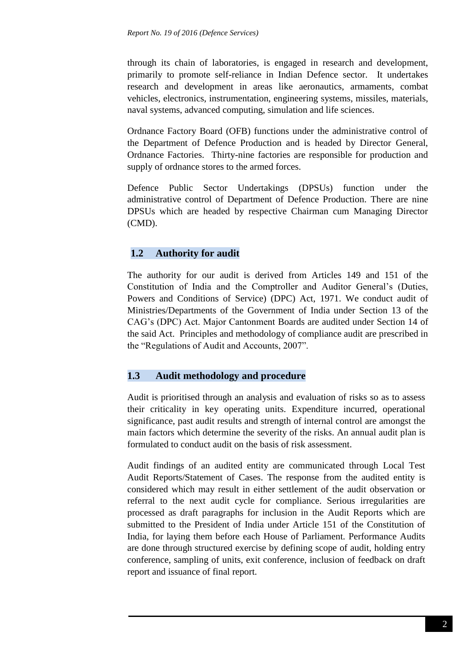through its chain of laboratories, is engaged in research and development, primarily to promote self-reliance in Indian Defence sector. It undertakes research and development in areas like aeronautics, armaments, combat vehicles, electronics, instrumentation, engineering systems, missiles, materials, naval systems, advanced computing, simulation and life sciences.

Ordnance Factory Board (OFB) functions under the administrative control of the Department of Defence Production and is headed by Director General, Ordnance Factories. Thirty-nine factories are responsible for production and supply of ordnance stores to the armed forces.

Defence Public Sector Undertakings (DPSUs) function under the administrative control of Department of Defence Production. There are nine DPSUs which are headed by respective Chairman cum Managing Director (CMD).

# **1.2 Authority for audit**

The authority for our audit is derived from Articles 149 and 151 of the Constitution of India and the Comptroller and Auditor General's (Duties, Powers and Conditions of Service) (DPC) Act, 1971. We conduct audit of Ministries/Departments of the Government of India under Section 13 of the CAG's (DPC) Act. Major Cantonment Boards are audited under Section 14 of the said Act. Principles and methodology of compliance audit are prescribed in the "Regulations of Audit and Accounts, 2007".

## **1.3 Audit methodology and procedure**

Audit is prioritised through an analysis and evaluation of risks so as to assess their criticality in key operating units. Expenditure incurred, operational significance, past audit results and strength of internal control are amongst the main factors which determine the severity of the risks. An annual audit plan is formulated to conduct audit on the basis of risk assessment.

Audit findings of an audited entity are communicated through Local Test Audit Reports/Statement of Cases. The response from the audited entity is considered which may result in either settlement of the audit observation or referral to the next audit cycle for compliance. Serious irregularities are processed as draft paragraphs for inclusion in the Audit Reports which are submitted to the President of India under Article 151 of the Constitution of India, for laying them before each House of Parliament. Performance Audits are done through structured exercise by defining scope of audit, holding entry conference, sampling of units, exit conference, inclusion of feedback on draft report and issuance of final report.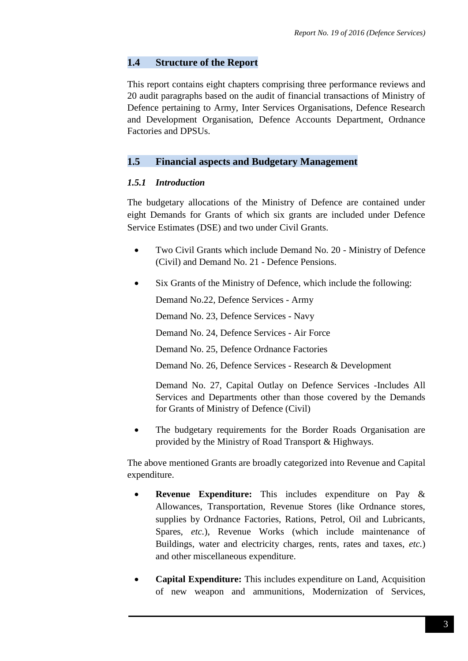# **1.4 Structure of the Report**

This report contains eight chapters comprising three performance reviews and 20 audit paragraphs based on the audit of financial transactions of Ministry of Defence pertaining to Army, Inter Services Organisations, Defence Research and Development Organisation, Defence Accounts Department, Ordnance Factories and DPSUs.

## **1.5 Financial aspects and Budgetary Management**

## *1.5.1 Introduction*

The budgetary allocations of the Ministry of Defence are contained under eight Demands for Grants of which six grants are included under Defence Service Estimates (DSE) and two under Civil Grants.

- Two Civil Grants which include Demand No. 20 Ministry of Defence (Civil) and Demand No. 21 - Defence Pensions.
- Six Grants of the Ministry of Defence, which include the following:

Demand No.22, Defence Services - Army

Demand No. 23, Defence Services - Navy

Demand No. 24, Defence Services - Air Force

Demand No. 25, Defence Ordnance Factories

Demand No. 26, Defence Services - Research & Development

Demand No. 27, Capital Outlay on Defence Services -Includes All Services and Departments other than those covered by the Demands for Grants of Ministry of Defence (Civil)

 The budgetary requirements for the Border Roads Organisation are provided by the Ministry of Road Transport & Highways.

The above mentioned Grants are broadly categorized into Revenue and Capital expenditure.

- **Revenue Expenditure:** This includes expenditure on Pay & Allowances, Transportation, Revenue Stores (like Ordnance stores, supplies by Ordnance Factories, Rations, Petrol, Oil and Lubricants, Spares, *etc.*), Revenue Works (which include maintenance of Buildings, water and electricity charges, rents, rates and taxes, *etc.*) and other miscellaneous expenditure.
- **Capital Expenditure:** This includes expenditure on Land, Acquisition of new weapon and ammunitions, Modernization of Services,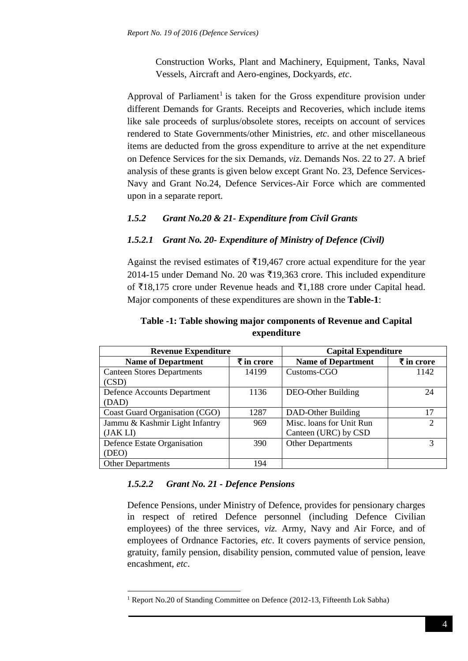Construction Works, Plant and Machinery, Equipment, Tanks, Naval Vessels, Aircraft and Aero-engines, Dockyards, *etc*.

Approval of Parliament<sup>1</sup> is taken for the Gross expenditure provision under different Demands for Grants. Receipts and Recoveries, which include items like sale proceeds of surplus/obsolete stores, receipts on account of services rendered to State Governments/other Ministries, *etc*. and other miscellaneous items are deducted from the gross expenditure to arrive at the net expenditure on Defence Services for the six Demands, *viz*. Demands Nos. 22 to 27. A brief analysis of these grants is given below except Grant No. 23, Defence Services-Navy and Grant No.24, Defence Services-Air Force which are commented upon in a separate report.

# *1.5.2 Grant No.20 & 21- Expenditure from Civil Grants*

# *1.5.2.1 Grant No. 20- Expenditure of Ministry of Defence (Civil)*

Against the revised estimates of  $\bar{\tau}$ 19,467 crore actual expenditure for the year 2014-15 under Demand No. 20 was  $\overline{2}19,363$  crore. This included expenditure of  $\bar{z}18,175$  crore under Revenue heads and  $\bar{z}1,188$  crore under Capital head. Major components of these expenditures are shown in the **Table-1**:

# **Table -1: Table showing major components of Revenue and Capital expenditure**

| <b>Revenue Expenditure</b>        |                       | <b>Capital Expenditure</b> |                             |  |
|-----------------------------------|-----------------------|----------------------------|-----------------------------|--|
| <b>Name of Department</b>         | $\bar{\tau}$ in crore | <b>Name of Department</b>  | ₹ in crore                  |  |
| <b>Canteen Stores Departments</b> | 14199                 | Customs-CGO                | 1142                        |  |
| (CSD)                             |                       |                            |                             |  |
| Defence Accounts Department       | 1136                  | DEO-Other Building         | 24                          |  |
| (DAD)                             |                       |                            |                             |  |
| Coast Guard Organisation (CGO)    | 1287                  | DAD-Other Building         | 17                          |  |
| Jammu & Kashmir Light Infantry    | 969                   | Misc. loans for Unit Run   | $\mathcal{D}_{\mathcal{A}}$ |  |
| (JAKLI)                           |                       | Canteen (URC) by CSD       |                             |  |
| Defence Estate Organisation       | 390                   | <b>Other Departments</b>   | 3                           |  |
| (DEO)                             |                       |                            |                             |  |
| <b>Other Departments</b>          | 194                   |                            |                             |  |

# *1.5.2.2 Grant No. 21 - Defence Pensions*

**.** 

Defence Pensions, under Ministry of Defence, provides for pensionary charges in respect of retired Defence personnel (including Defence Civilian employees) of the three services, *viz.* Army, Navy and Air Force, and of employees of Ordnance Factories, *etc*. It covers payments of service pension, gratuity, family pension, disability pension, commuted value of pension, leave encashment, *etc*.

<sup>&</sup>lt;sup>1</sup> Report No.20 of Standing Committee on Defence (2012-13, Fifteenth Lok Sabha)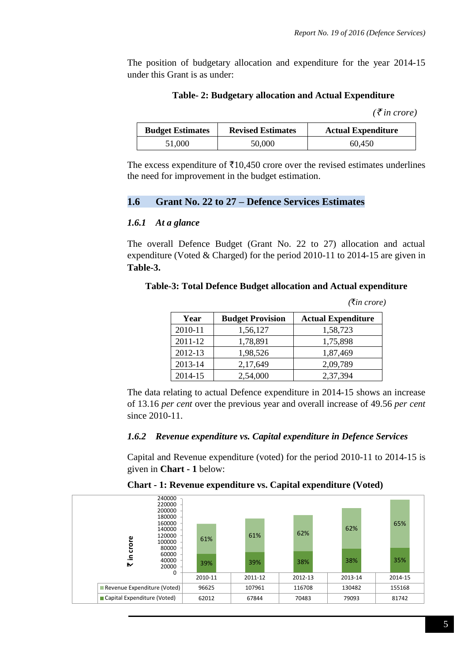*(*`*in crore)*

The position of budgetary allocation and expenditure for the year 2014-15 under this Grant is as under:

#### **Table- 2: Budgetary allocation and Actual Expenditure**

| $\left(\bar{\tau}$ in crore) |  |
|------------------------------|--|
|------------------------------|--|

| <b>Budget Estimates</b> | <b>Revised Estimates</b> | <b>Actual Expenditure</b> |
|-------------------------|--------------------------|---------------------------|
| 51,000                  | 50,000                   | 60.450                    |

The excess expenditure of  $\bar{\tau}$ 10,450 crore over the revised estimates underlines the need for improvement in the budget estimation.

#### **1.6 Grant No. 22 to 27 – Defence Services Estimates**

#### *1.6.1 At a glance*

The overall Defence Budget (Grant No. 22 to 27) allocation and actual expenditure (Voted & Charged) for the period 2010-11 to 2014-15 are given in **Table-3.**

**Table-3: Total Defence Budget allocation and Actual expenditure** 

| Year    | <b>Budget Provision</b> | <b>Actual Expenditure</b> |
|---------|-------------------------|---------------------------|
| 2010-11 | 1,56,127                | 1,58,723                  |
| 2011-12 | 1,78,891                | 1,75,898                  |
| 2012-13 | 1,98,526                | 1,87,469                  |
| 2013-14 | 2,17,649                | 2,09,789                  |
| 2014-15 | 2,54,000                | 2,37,394                  |

The data relating to actual Defence expenditure in 2014-15 shows an increase of 13.16 *per cent* over the previous year and overall increase of 49.56 *per cent* since 2010-11.

#### *1.6.2 Revenue expenditure vs. Capital expenditure in Defence Services*

Capital and Revenue expenditure (voted) for the period 2010-11 to 2014-15 is given in **Chart - 1** below:

| 240000<br>220000<br>200000<br>180000                   |         |         |         |         |         |
|--------------------------------------------------------|---------|---------|---------|---------|---------|
| 160000<br>140000<br>120000<br>crore<br>100000<br>80000 | 61%     | 61%     | 62%     | 62%     | 65%     |
| 60000<br>크.<br>40000<br>₩<br>20000<br>0                | 39%     | 39%     | 38%     | 38%     | 35%     |
|                                                        | 2010-11 | 2011-12 | 2012-13 | 2013-14 | 2014-15 |
| Revenue Expenditure (Voted)                            | 96625   | 107961  | 116708  | 130482  | 155168  |
| Capital Expenditure (Voted)                            | 62012   | 67844   | 70483   | 79093   | 81742   |

**Chart - 1: Revenue expenditure vs. Capital expenditure (Voted)**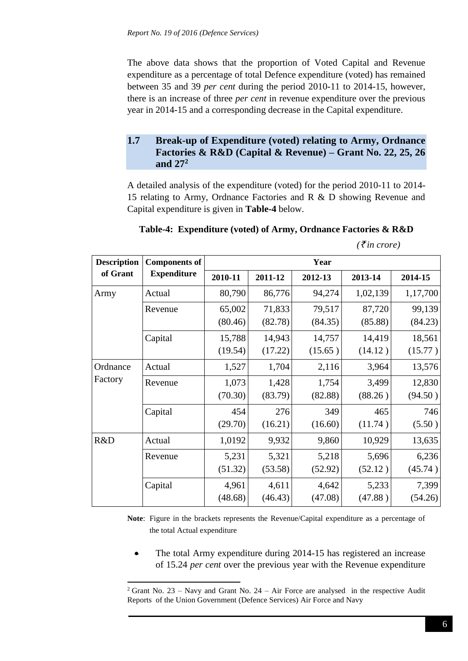The above data shows that the proportion of Voted Capital and Revenue expenditure as a percentage of total Defence expenditure (voted) has remained between 35 and 39 *per cent* during the period 2010-11 to 2014-15, however, there is an increase of three *per cent* in revenue expenditure over the previous year in 2014-15 and a corresponding decrease in the Capital expenditure.

## **1.7 Break-up of Expenditure (voted) relating to Army, Ordnance Factories & R&D (Capital & Revenue) – Grant No. 22, 25, 26 and 27<sup>2</sup>**

A detailed analysis of the expenditure (voted) for the period 2010-11 to 2014- 15 relating to Army, Ordnance Factories and R & D showing Revenue and Capital expenditure is given in **Table-4** below.

#### **Table-4: Expenditure (voted) of Army, Ordnance Factories & R&D**

| <b>Description</b> | <b>Components of</b> |         | Year    |         |          |          |  |
|--------------------|----------------------|---------|---------|---------|----------|----------|--|
| of Grant           | <b>Expenditure</b>   | 2010-11 | 2011-12 | 2012-13 | 2013-14  | 2014-15  |  |
| Army               | Actual               | 80,790  | 86,776  | 94,274  | 1,02,139 | 1,17,700 |  |
|                    | Revenue              | 65,002  | 71,833  | 79,517  | 87,720   | 99,139   |  |
|                    |                      | (80.46) | (82.78) | (84.35) | (85.88)  | (84.23)  |  |
|                    | Capital              | 15,788  | 14,943  | 14,757  | 14,419   | 18,561   |  |
|                    |                      | (19.54) | (17.22) | (15.65) | (14.12)  | (15.77)  |  |
| Ordnance           | Actual               | 1,527   | 1,704   | 2,116   | 3,964    | 13,576   |  |
| Factory            | Revenue              | 1,073   | 1,428   | 1,754   | 3,499    | 12,830   |  |
|                    |                      | (70.30) | (83.79) | (82.88) | (88.26)  | (94.50)  |  |
|                    | Capital              | 454     | 276     | 349     | 465      | 746      |  |
|                    |                      | (29.70) | (16.21) | (16.60) | (11.74)  | (5.50)   |  |
| R&D                | Actual               | 1,0192  | 9,932   | 9,860   | 10,929   | 13,635   |  |
|                    | Revenue              | 5,231   | 5,321   | 5,218   | 5,696    | 6,236    |  |
|                    |                      | (51.32) | (53.58) | (52.92) | (52.12)  | (45.74)  |  |
|                    | Capital              | 4,961   | 4,611   | 4,642   | 5,233    | 7,399    |  |
|                    |                      | (48.68) | (46.43) | (47.08) | (47.88)  | (54.26)  |  |

 $(\bar{\xi}$ *in crore*)

**Note**: Figure in the brackets represents the Revenue/Capital expenditure as a percentage of the total Actual expenditure

 The total Army expenditure during 2014-15 has registered an increase of 15.24 *per cent* over the previous year with the Revenue expenditure

**.** 

<sup>&</sup>lt;sup>2</sup> Grant No. 23 – Navy and Grant No. 24 – Air Force are analysed in the respective Audit Reports of the Union Government (Defence Services) Air Force and Navy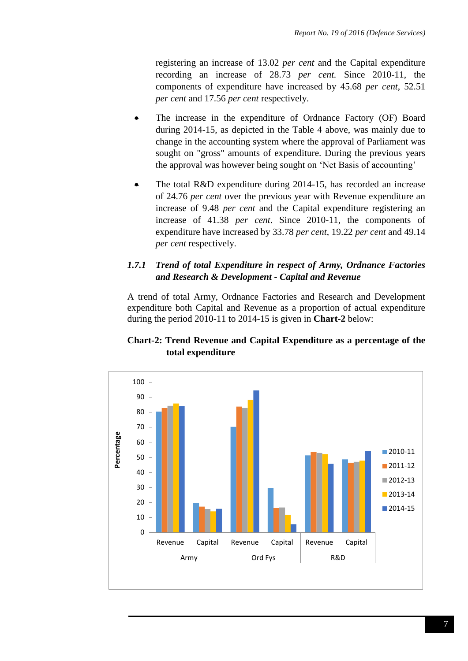registering an increase of 13.02 *per cent* and the Capital expenditure recording an increase of 28.73 *per cent.* Since 2010-11, the components of expenditure have increased by 45.68 *per cent*, 52.51 *per cent* and 17.56 *per cent* respectively.

- The increase in the expenditure of Ordnance Factory (OF) Board during 2014-15, as depicted in the Table 4 above, was mainly due to change in the accounting system where the approval of Parliament was sought on "gross" amounts of expenditure. During the previous years the approval was however being sought on 'Net Basis of accounting'
- The total R&D expenditure during 2014-15, has recorded an increase of 24.76 *per cent* over the previous year with Revenue expenditure an increase of 9.48 *per cent* and the Capital expenditure registering an increase of 41.38 *per cent*. Since 2010-11, the components of expenditure have increased by 33.78 *per cent*, 19.22 *per cent* and 49.14 *per cent* respectively.

# *1.7.1 Trend of total Expenditure in respect of Army, Ordnance Factories and Research & Development - Capital and Revenue*

A trend of total Army, Ordnance Factories and Research and Development expenditure both Capital and Revenue as a proportion of actual expenditure during the period 2010-11 to 2014-15 is given in **Chart-2** below:

# **Chart-2: Trend Revenue and Capital Expenditure as a percentage of the total expenditure**

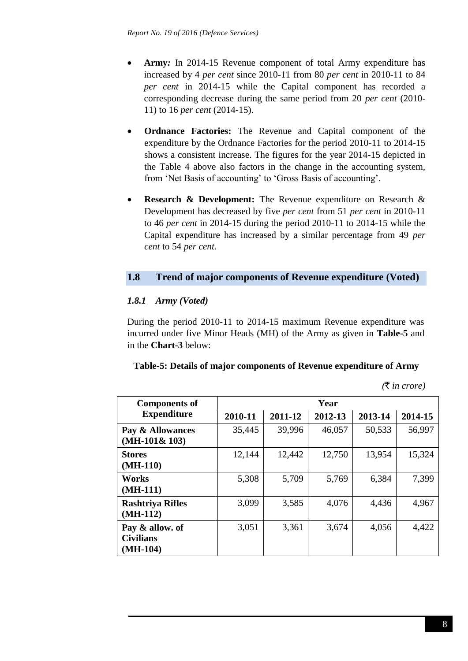- **Army***:* In 2014-15 Revenue component of total Army expenditure has increased by 4 *per cent* since 2010-11 from 80 *per cent* in 2010-11 to 84 *per cent* in 2014-15 while the Capital component has recorded a corresponding decrease during the same period from 20 *per cent* (2010- 11) to 16 *per cent* (2014-15).
- **Ordnance Factories:** The Revenue and Capital component of the expenditure by the Ordnance Factories for the period 2010-11 to 2014-15 shows a consistent increase. The figures for the year 2014-15 depicted in the Table 4 above also factors in the change in the accounting system, from 'Net Basis of accounting' to 'Gross Basis of accounting'.
- **Research & Development:** The Revenue expenditure on Research & Development has decreased by five *per cent* from 51 *per cent* in 2010-11 to 46 *per cent* in 2014-15 during the period 2010-11 to 2014-15 while the Capital expenditure has increased by a similar percentage from 49 *per cent* to 54 *per cent.*

# **1.8 Trend of major components of Revenue expenditure (Voted)**

# *1.8.1 Army (Voted)*

During the period 2010-11 to 2014-15 maximum Revenue expenditure was incurred under five Minor Heads (MH) of the Army as given in **Table-5** and in the **Chart-3** below:

## **Table-5: Details of major components of Revenue expenditure of Army**

*(*` *in crore)*

| <b>Components of</b>                              | Year    |         |         |         |         |  |  |
|---------------------------------------------------|---------|---------|---------|---------|---------|--|--|
| <b>Expenditure</b>                                | 2010-11 | 2011-12 | 2012-13 | 2013-14 | 2014-15 |  |  |
| Pay & Allowances<br>$(MH-101& 103)$               | 35,445  | 39,996  | 46,057  | 50,533  | 56,997  |  |  |
| <b>Stores</b><br>$(MH-110)$                       | 12,144  | 12,442  | 12,750  | 13,954  | 15,324  |  |  |
| <b>Works</b><br>$(MH-111)$                        | 5,308   | 5,709   | 5,769   | 6,384   | 7,399   |  |  |
| <b>Rashtriya Rifles</b><br>$(MH-112)$             | 3,099   | 3,585   | 4,076   | 4,436   | 4,967   |  |  |
| Pay & allow. of<br><b>Civilians</b><br>$(MH-104)$ | 3,051   | 3,361   | 3,674   | 4,056   | 4,422   |  |  |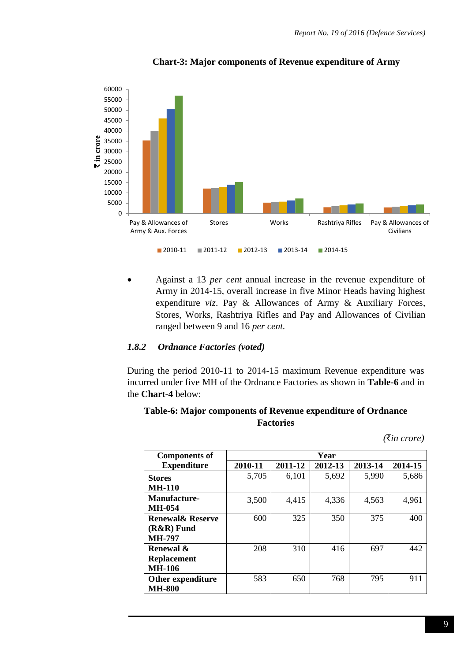

#### **Chart-3: Major components of Revenue expenditure of Army**

 Against a 13 *per cent* annual increase in the revenue expenditure of Army in 2014-15, overall increase in five Minor Heads having highest expenditure *viz*. Pay & Allowances of Army & Auxiliary Forces, Stores, Works, Rashtriya Rifles and Pay and Allowances of Civilian ranged between 9 and 16 *per cent.*

#### *1.8.2 Ordnance Factories (voted)*

During the period 2010-11 to 2014-15 maximum Revenue expenditure was incurred under five MH of the Ordnance Factories as shown in **Table-6** and in the **Chart-4** below:

#### **Table-6: Major components of Revenue expenditure of Ordnance Factories**

*(*`*in crore)*

| <b>Components of</b>        | Year    |         |         |         |         |  |
|-----------------------------|---------|---------|---------|---------|---------|--|
| <b>Expenditure</b>          | 2010-11 | 2011-12 | 2012-13 | 2013-14 | 2014-15 |  |
| <b>Stores</b>               | 5,705   | 6,101   | 5,692   | 5,990   | 5,686   |  |
| <b>MH-110</b>               |         |         |         |         |         |  |
| <b>Manufacture-</b>         | 3,500   | 4,415   | 4,336   | 4,563   | 4,961   |  |
| <b>MH-054</b>               |         |         |         |         |         |  |
| <b>Renewal&amp; Reserve</b> | 600     | 325     | 350     | 375     | 400     |  |
| (R&R) Fund                  |         |         |         |         |         |  |
| <b>MH-797</b>               |         |         |         |         |         |  |
| Renewal &                   | 208     | 310     | 416     | 697     | 442     |  |
| <b>Replacement</b>          |         |         |         |         |         |  |
| <b>MH-106</b>               |         |         |         |         |         |  |
| Other expenditure           | 583     | 650     | 768     | 795     | 911     |  |
| <b>MH-800</b>               |         |         |         |         |         |  |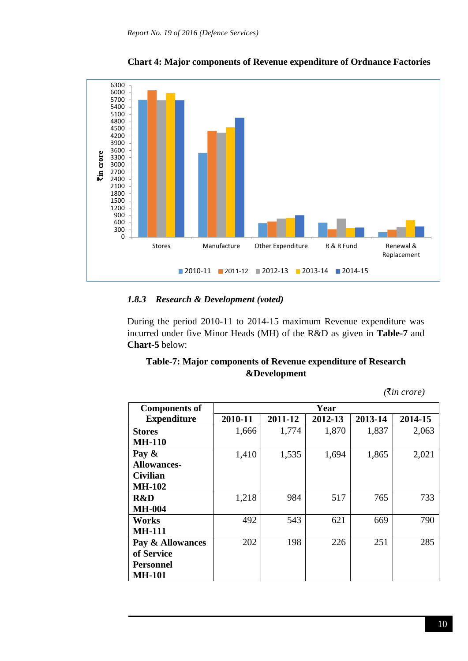

**Chart 4: Major components of Revenue expenditure of Ordnance Factories**

#### *1.8.3 Research & Development (voted)*

During the period 2010-11 to 2014-15 maximum Revenue expenditure was incurred under five Minor Heads (MH) of the R&D as given in **Table-7** and **Chart-5** below:

# **Table-7: Major components of Revenue expenditure of Research &Development**

*(*`*in crore)*

| <b>Components of</b> | Year    |         |         |         |         |  |  |
|----------------------|---------|---------|---------|---------|---------|--|--|
| <b>Expenditure</b>   | 2010-11 | 2011-12 | 2012-13 | 2013-14 | 2014-15 |  |  |
| <b>Stores</b>        | 1,666   | 1,774   | 1,870   | 1,837   | 2,063   |  |  |
| <b>MH-110</b>        |         |         |         |         |         |  |  |
| Pay $\&$             | 1,410   | 1,535   | 1,694   | 1,865   | 2,021   |  |  |
| <b>Allowances-</b>   |         |         |         |         |         |  |  |
| <b>Civilian</b>      |         |         |         |         |         |  |  |
| <b>MH-102</b>        |         |         |         |         |         |  |  |
| R&D                  | 1,218   | 984     | 517     | 765     | 733     |  |  |
| <b>MH-004</b>        |         |         |         |         |         |  |  |
| Works                | 492     | 543     | 621     | 669     | 790     |  |  |
| <b>MH-111</b>        |         |         |         |         |         |  |  |
| Pay & Allowances     | 202     | 198     | 226     | 251     | 285     |  |  |
| of Service           |         |         |         |         |         |  |  |
| <b>Personnel</b>     |         |         |         |         |         |  |  |
| <b>MH-101</b>        |         |         |         |         |         |  |  |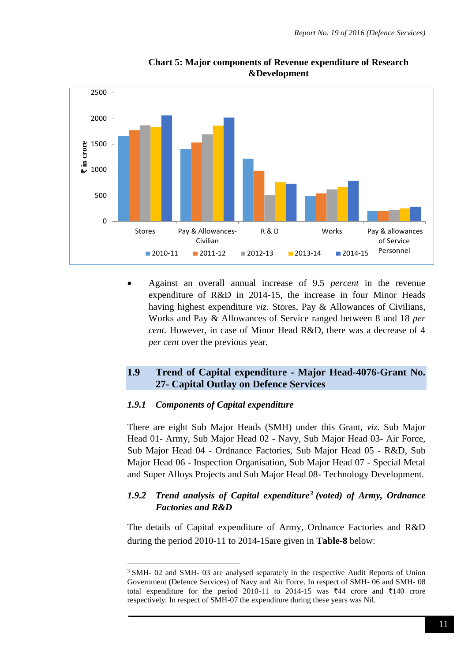

**Chart 5: Major components of Revenue expenditure of Research &Development**

 Against an overall annual increase of 9.5 *percent* in the revenue expenditure of R&D in 2014-15, the increase in four Minor Heads having highest expenditure *viz*. Stores, Pay & Allowances of Civilians, Works and Pay & Allowances of Service ranged between 8 and 18 *per cent.* However, in case of Minor Head R&D, there was a decrease of 4 *per cent* over the previous year.

## **1.9 Trend of Capital expenditure - Major Head-4076-Grant No. 27- Capital Outlay on Defence Services**

#### *1.9.1 Components of Capital expenditure*

1

There are eight Sub Major Heads (SMH) under this Grant, *viz*. Sub Major Head 01- Army, Sub Major Head 02 - Navy, Sub Major Head 03- Air Force, Sub Major Head 04 - Ordnance Factories, Sub Major Head 05 - R&D, Sub Major Head 06 - Inspection Organisation, Sub Major Head 07 - Special Metal and Super Alloys Projects and Sub Major Head 08- Technology Development.

## *1.9.2 Trend analysis of Capital expenditure<sup>3</sup> (voted) of Army, Ordnance Factories and R&D*

The details of Capital expenditure of Army, Ordnance Factories and R&D during the period 2010-11 to 2014-15are given in **Table-8** below:

<sup>&</sup>lt;sup>3</sup> SMH- 02 and SMH- 03 are analysed separately in the respective Audit Reports of Union Government (Defence Services) of Navy and Air Force. In respect of SMH- 06 and SMH- 08 total expenditure for the period 2010-11 to 2014-15 was  $\overline{\xi}44$  crore and  $\overline{\xi}140$  crore respectively. In respect of SMH-07 the expenditure during these years was Nil.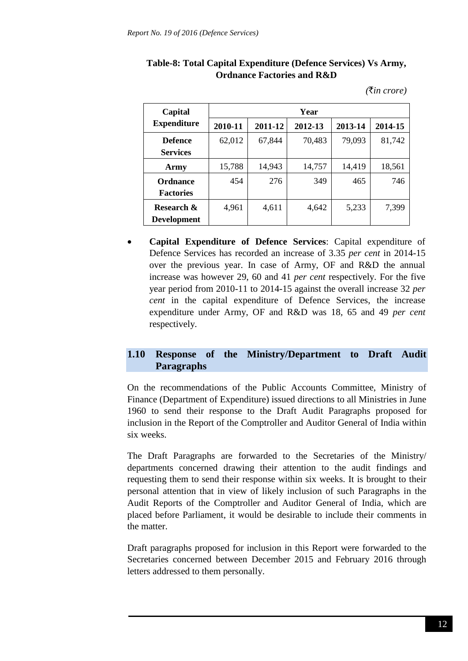| Table-8: Total Capital Expenditure (Defence Services) Vs Army, |  |
|----------------------------------------------------------------|--|
| <b>Ordnance Factories and R&amp;D</b>                          |  |

*(*`*in crore)*

| Capital            | Year    |         |         |         |         |  |  |
|--------------------|---------|---------|---------|---------|---------|--|--|
| <b>Expenditure</b> | 2010-11 | 2011-12 | 2012-13 | 2013-14 | 2014-15 |  |  |
| <b>Defence</b>     | 62,012  | 67,844  | 70,483  | 79,093  | 81,742  |  |  |
| <b>Services</b>    |         |         |         |         |         |  |  |
| Army               | 15,788  | 14,943  | 14,757  | 14,419  | 18,561  |  |  |
| Ordnance           | 454     | 276     | 349     | 465     | 746     |  |  |
| <b>Factories</b>   |         |         |         |         |         |  |  |
| Research &         | 4,961   | 4,611   | 4,642   | 5,233   | 7,399   |  |  |
| <b>Development</b> |         |         |         |         |         |  |  |

 **Capital Expenditure of Defence Services**: Capital expenditure of Defence Services has recorded an increase of 3.35 *per cent* in 2014-15 over the previous year. In case of Army, OF and R&D the annual increase was however 29, 60 and 41 *per cent* respectively. For the five year period from 2010-11 to 2014-15 against the overall increase 32 *per cent* in the capital expenditure of Defence Services, the increase expenditure under Army, OF and R&D was 18*,* 65 and 49 *per cent* respectively*.* 

# **1.10 Response of the Ministry/Department to Draft Audit Paragraphs**

On the recommendations of the Public Accounts Committee, Ministry of Finance (Department of Expenditure) issued directions to all Ministries in June 1960 to send their response to the Draft Audit Paragraphs proposed for inclusion in the Report of the Comptroller and Auditor General of India within six weeks.

The Draft Paragraphs are forwarded to the Secretaries of the Ministry/ departments concerned drawing their attention to the audit findings and requesting them to send their response within six weeks. It is brought to their personal attention that in view of likely inclusion of such Paragraphs in the Audit Reports of the Comptroller and Auditor General of India, which are placed before Parliament, it would be desirable to include their comments in the matter.

Draft paragraphs proposed for inclusion in this Report were forwarded to the Secretaries concerned between December 2015 and February 2016 through letters addressed to them personally.